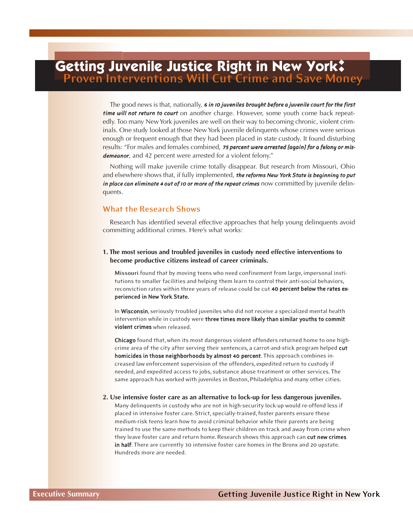# **Getting Juvenile Justice Right in New York: Proven Interventions Will Cut Crime and Save Money**

The good news is that, nationally, *6 in 10 juveniles brought before a juvenile court for the first time will not return to court* on another charge. However, some youth come back repeatedly. Too many NewYork juveniles are well on their way to becoming chronic, violent criminals. One study looked at those New York juvenile delinquents whose crimes were serious enough or frequent enough that they had been placed in state custody. It found disturbing results: "For males and females combined, *75 percent were arrested [again] for a felony or misdemeanor*, and 42 percent were arrested for a violent felony."

Nothing will make juvenile crime totally disappear. But research from Missouri, Ohio and elsewhere shows that, if fully implemented, *the reforms New York State is beginning to put in place can eliminate 4 out of 10 or more of the repeat crimes* now committed by juvenile delinquents.

## **What the Research Shows**

Research has identified several effective approaches that help young delinquents avoid committing additional crimes. Here's what works:

## **1. The most serious and troubled juveniles in custody need effective interventions to become productive citizens instead of career criminals.**

**Missouri** found that by moving teens who need confinement from large, impersonal institutions to smaller facilities and helping them learn to control their anti-social behaviors, reconviction rates within three years of release could be cut 40 percent below the rates experienced in New York State.

In Wisconsin, seriously troubled juveniles who did not receive a specialized mental health intervention while in custody were three times more likely than similar youths to commit violent crimes when released.

Chicago found that, when its most dangerous violent offenders returned home to one highcrime area of the city after serving their sentences, a carrot-and-stick program helped cut homicides in those neighborhoods by almost 40 percent. This approach combines increased law enforcement supervision of the offenders, expedited return to custody if needed, and expedited access to jobs, substance abuse treatment or other services. The same approach has worked with juveniles in Boston, Philadelphia and many other cities.

#### **2. Use intensive foster care as an alternative to lock-up for less dangerous juveniles.**

Many delinquents in custody who are not in high-security lock-up would re-offend less if placed in intensive foster care. Strict, specially-trained,foster parents ensure these medium-risk teens learn how to avoid criminal behavior while their parents are being trained to use the same methods to keep their children on track and away from crime when they leave foster care and return home. Research shows this approach can cut new crimes in half. There are currently 30 intensive foster care homes in the Bronx and 20 upstate. Hundreds more are needed.